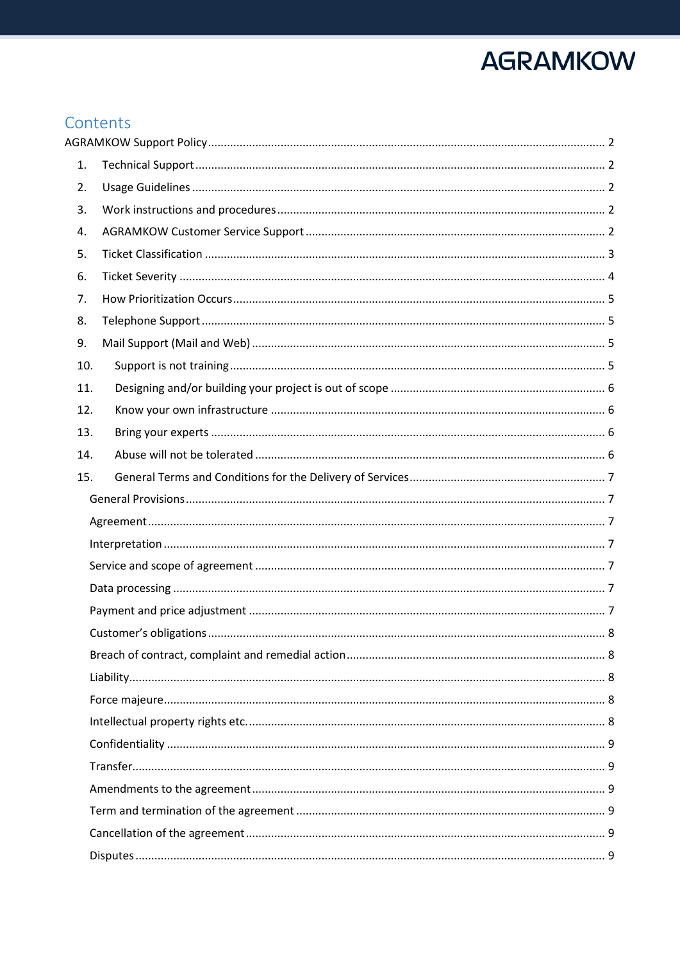## Contents

| 1.  |  |  |  |  |  |
|-----|--|--|--|--|--|
| 2.  |  |  |  |  |  |
| 3.  |  |  |  |  |  |
| 4.  |  |  |  |  |  |
| 5.  |  |  |  |  |  |
| 6.  |  |  |  |  |  |
| 7.  |  |  |  |  |  |
| 8.  |  |  |  |  |  |
| 9.  |  |  |  |  |  |
| 10. |  |  |  |  |  |
| 11. |  |  |  |  |  |
| 12. |  |  |  |  |  |
| 13. |  |  |  |  |  |
| 14. |  |  |  |  |  |
| 15. |  |  |  |  |  |
|     |  |  |  |  |  |
|     |  |  |  |  |  |
|     |  |  |  |  |  |
|     |  |  |  |  |  |
|     |  |  |  |  |  |
|     |  |  |  |  |  |
|     |  |  |  |  |  |
|     |  |  |  |  |  |
|     |  |  |  |  |  |
|     |  |  |  |  |  |
|     |  |  |  |  |  |
|     |  |  |  |  |  |
|     |  |  |  |  |  |
|     |  |  |  |  |  |
|     |  |  |  |  |  |
|     |  |  |  |  |  |
|     |  |  |  |  |  |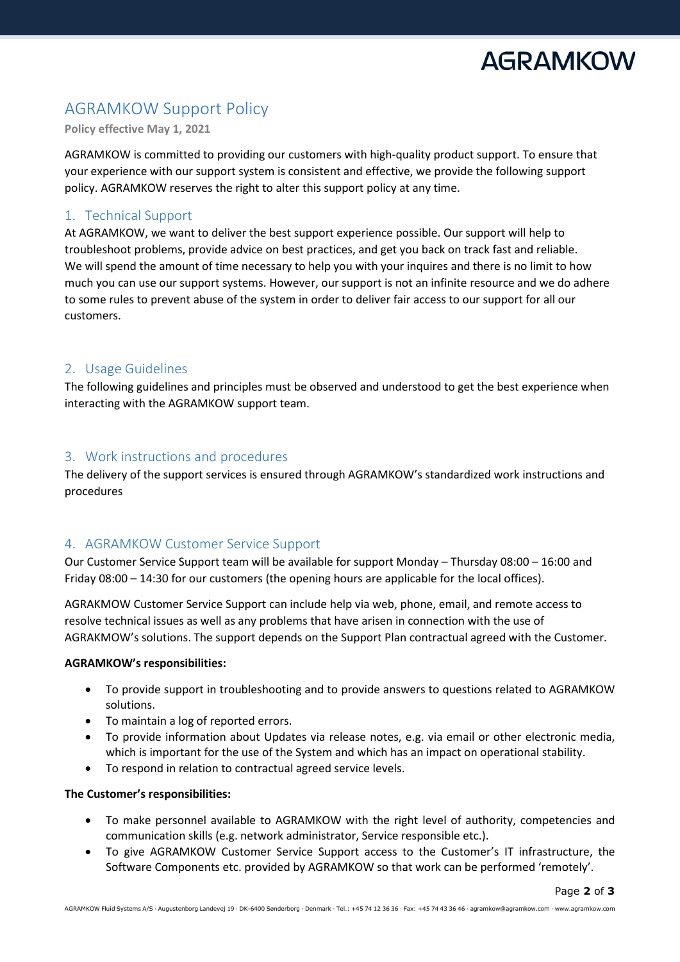

Page **2** of **3**

## <span id="page-1-0"></span>AGRAMKOW Support Policy

**Policy effective May 1, 2021**

AGRAMKOW is committed to providing our customers with high-quality product support. To ensure that your experience with our support system is consistent and effective, we provide the following support policy. AGRAMKOW reserves the right to alter this support policy at any time.

## <span id="page-1-1"></span>1. Technical Support

At AGRAMKOW, we want to deliver the best support experience possible. Our support will help to troubleshoot problems, provide advice on best practices, and get you back on track fast and reliable. We will spend the amount of time necessary to help you with your inquires and there is no limit to how much you can use our support systems. However, our support is not an infinite resource and we do adhere to some rules to prevent abuse of the system in order to deliver fair access to our support for all our customers.

## <span id="page-1-2"></span>2. Usage Guidelines

The following guidelines and principles must be observed and understood to get the best experience when interacting with the AGRAMKOW support team.

## <span id="page-1-3"></span>3. Work instructions and procedures

The delivery of the support services is ensured through AGRAMKOW's standardized work instructions and procedures

## <span id="page-1-4"></span>4. AGRAMKOW Customer Service Support

Our Customer Service Support team will be available for support Monday – Thursday 08:00 – 16:00 and Friday 08:00 – 14:30 for our customers (the opening hours are applicable for the local offices).

AGRAKMOW Customer Service Support can include help via web, phone, email, and remote access to resolve technical issues as well as any problems that have arisen in connection with the use of AGRAKMOW's solutions. The support depends on the Support Plan contractual agreed with the Customer.

### **AGRAMKOW's responsibilities:**

- To provide support in troubleshooting and to provide answers to questions related to AGRAMKOW solutions.
- To maintain a log of reported errors.
- To provide information about Updates via release notes, e.g. via email or other electronic media, which is important for the use of the System and which has an impact on operational stability.
- To respond in relation to contractual agreed service levels.

### **The Customer's responsibilities:**

- To make personnel available to AGRAMKOW with the right level of authority, competencies and communication skills (e.g. network administrator, Service responsible etc.).
- To give AGRAMKOW Customer Service Support access to the Customer's IT infrastructure, the Software Components etc. provided by AGRAMKOW so that work can be performed 'remotely'.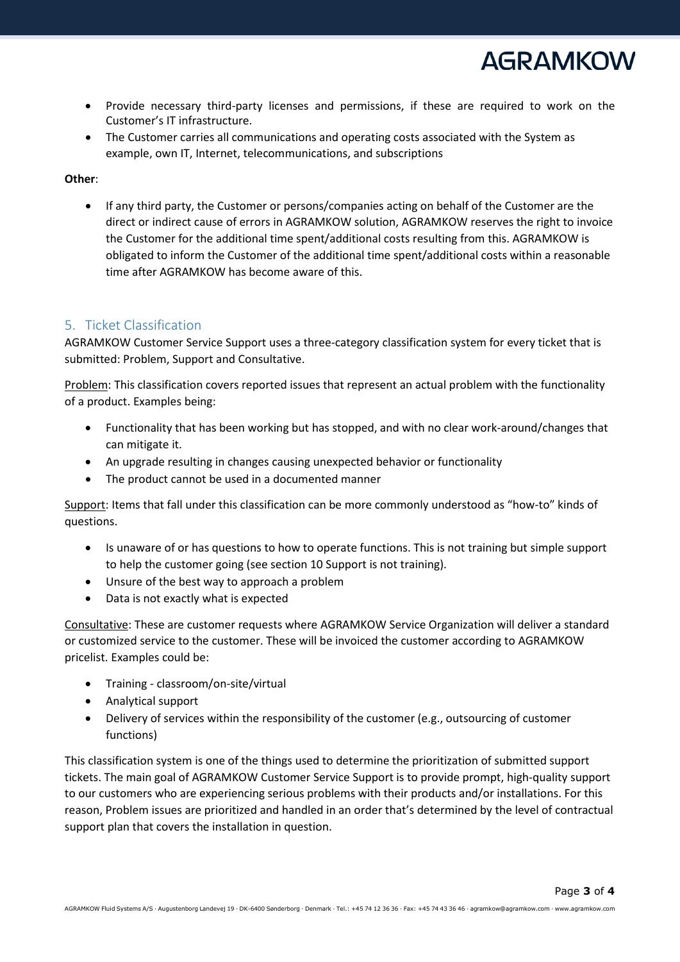

- Provide necessary third-party licenses and permissions, if these are required to work on the Customer's IT infrastructure.
- The Customer carries all communications and operating costs associated with the System as example, own IT, Internet, telecommunications, and subscriptions

### **Other**:

• If any third party, the Customer or persons/companies acting on behalf of the Customer are the direct or indirect cause of errors in AGRAMKOW solution, AGRAMKOW reserves the right to invoice the Customer for the additional time spent/additional costs resulting from this. AGRAMKOW is obligated to inform the Customer of the additional time spent/additional costs within a reasonable time after AGRAMKOW has become aware of this.

## <span id="page-2-0"></span>5. Ticket Classification

AGRAMKOW Customer Service Support uses a three-category classification system for every ticket that is submitted: Problem, Support and Consultative.

Problem: This classification covers reported issues that represent an actual problem with the functionality of a product. Examples being:

- Functionality that has been working but has stopped, and with no clear work-around/changes that can mitigate it.
- An upgrade resulting in changes causing unexpected behavior or functionality
- The product cannot be used in a documented manner

Support: Items that fall under this classification can be more commonly understood as "how-to" kinds of questions.

- Is unaware of or has questions to how to operate functions. This is not training but simple support to help the customer going (see sectio[n 10](#page-4-3) [Support is not training\)](#page-4-3).
- Unsure of the best way to approach a problem
- Data is not exactly what is expected

Consultative: These are customer requests where AGRAMKOW Service Organization will deliver a standard or customized service to the customer. These will be invoiced the customer according to AGRAMKOW pricelist. Examples could be:

- Training classroom/on-site/virtual
- Analytical support
- Delivery of services within the responsibility of the customer (e.g., outsourcing of customer functions)

This classification system is one of the things used to determine the prioritization of submitted support tickets. The main goal of AGRAMKOW Customer Service Support is to provide prompt, high-quality support to our customers who are experiencing serious problems with their products and/or installations. For this reason, Problem issues are prioritized and handled in an order that's determined by the level of contractual support plan that covers the installation in question.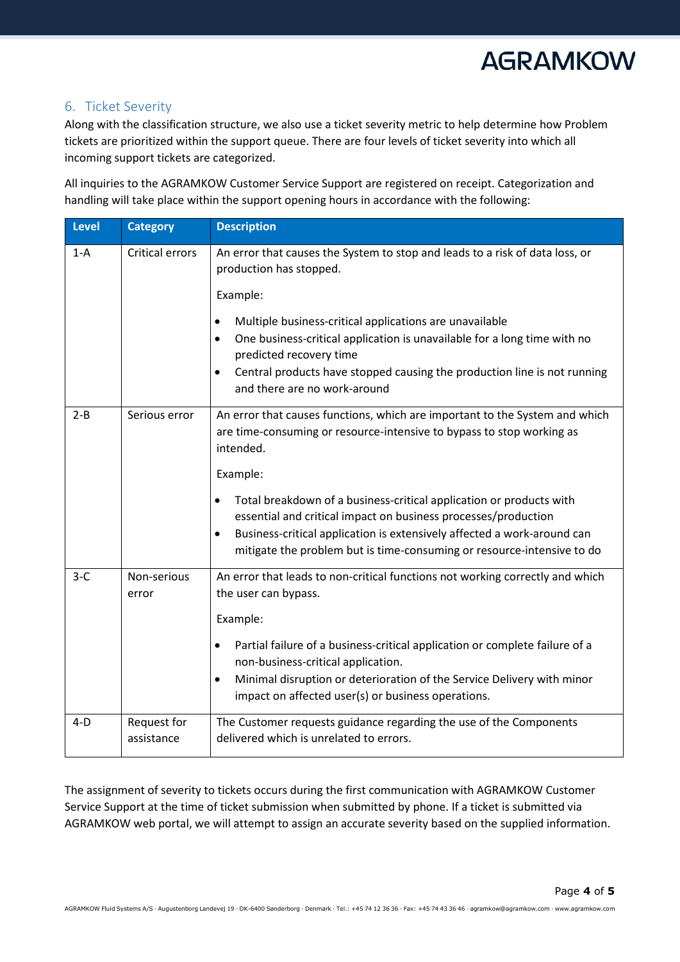

## <span id="page-3-0"></span>6. Ticket Severity

Along with the classification structure, we also use a ticket severity metric to help determine how Problem tickets are prioritized within the support queue. There are four levels of ticket severity into which all incoming support tickets are categorized.

All inquiries to the AGRAMKOW Customer Service Support are registered on receipt. Categorization and handling will take place within the support opening hours in accordance with the following:

| <b>Level</b> | <b>Category</b>           | <b>Description</b>                                                                                                                                                                       |
|--------------|---------------------------|------------------------------------------------------------------------------------------------------------------------------------------------------------------------------------------|
| $1-A$        | <b>Critical errors</b>    | An error that causes the System to stop and leads to a risk of data loss, or<br>production has stopped.                                                                                  |
|              |                           | Example:                                                                                                                                                                                 |
|              |                           | Multiple business-critical applications are unavailable<br>$\bullet$<br>One business-critical application is unavailable for a long time with no<br>$\bullet$<br>predicted recovery time |
|              |                           | Central products have stopped causing the production line is not running<br>$\bullet$<br>and there are no work-around                                                                    |
| $2 - B$      | Serious error             | An error that causes functions, which are important to the System and which<br>are time-consuming or resource-intensive to bypass to stop working as<br>intended.                        |
|              |                           | Example:                                                                                                                                                                                 |
|              |                           | Total breakdown of a business-critical application or products with<br>$\bullet$<br>essential and critical impact on business processes/production                                       |
|              |                           | Business-critical application is extensively affected a work-around can<br>$\bullet$<br>mitigate the problem but is time-consuming or resource-intensive to do                           |
| $3-C$        | Non-serious<br>error      | An error that leads to non-critical functions not working correctly and which<br>the user can bypass.                                                                                    |
|              |                           | Example:                                                                                                                                                                                 |
|              |                           | Partial failure of a business-critical application or complete failure of a<br>$\bullet$<br>non-business-critical application.                                                           |
|              |                           | Minimal disruption or deterioration of the Service Delivery with minor<br>$\bullet$<br>impact on affected user(s) or business operations.                                                |
| $4-D$        | Request for<br>assistance | The Customer requests guidance regarding the use of the Components<br>delivered which is unrelated to errors.                                                                            |

The assignment of severity to tickets occurs during the first communication with AGRAMKOW Customer Service Support at the time of ticket submission when submitted by phone. If a ticket is submitted via AGRAMKOW web portal, we will attempt to assign an accurate severity based on the supplied information.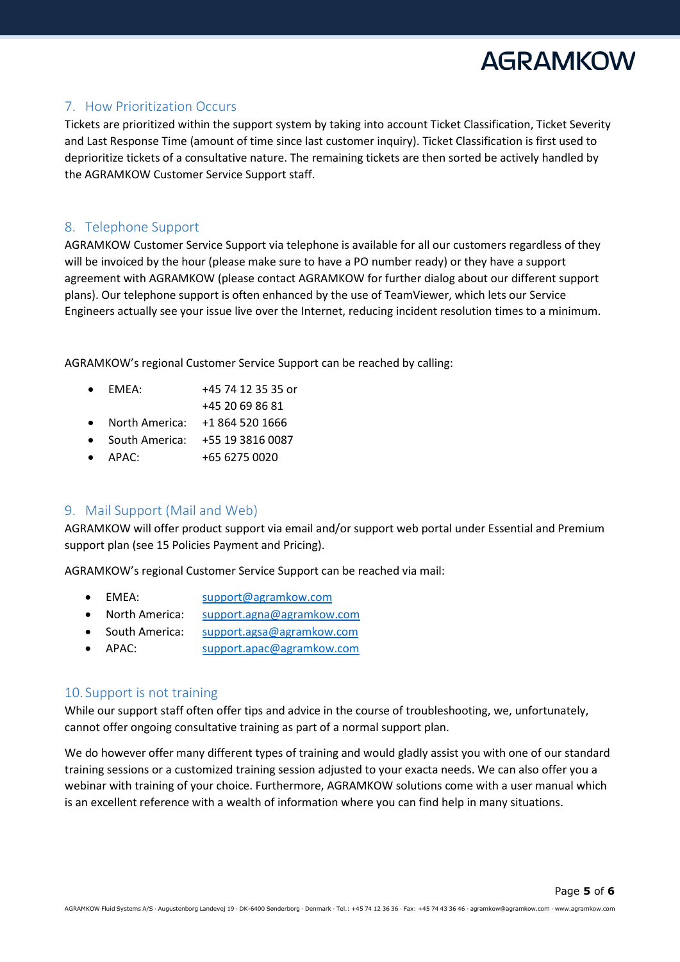

## <span id="page-4-0"></span>7. How Prioritization Occurs

Tickets are prioritized within the support system by taking into account Ticket Classification, Ticket Severity and Last Response Time (amount of time since last customer inquiry). Ticket Classification is first used to deprioritize tickets of a consultative nature. The remaining tickets are then sorted be actively handled by the AGRAMKOW Customer Service Support staff.

## <span id="page-4-1"></span>8. Telephone Support

AGRAMKOW Customer Service Support via telephone is available for all our customers regardless of they will be invoiced by the hour (please make sure to have a PO number ready) or they have a support agreement with AGRAMKOW (please contact AGRAMKOW for further dialog about our different support plans). Our telephone support is often enhanced by the use of TeamViewer, which lets our Service Engineers actually see your issue live over the Internet, reducing incident resolution times to a minimum.

AGRAMKOW's regional Customer Service Support can be reached by calling:

- EMEA: +45 74 12 35 35 or
- +45 20 69 86 81
- North America: +1 864 520 1666
- South America: +55 19 3816 0087
- APAC: +65 6275 0020

## <span id="page-4-2"></span>9. Mail Support (Mail and Web)

AGRAMKOW will offer product support via email and/or support web portal under Essential and Premium support plan (see 15 Policies Payment and Pricing).

AGRAMKOW's regional Customer Service Support can be reached via mail:

- EMEA: [support@agramkow.com](mailto:support@agramkow.com)
- North America: [support.agna@agramkow.com](mailto:support.agna@agramkow.com)
- South America: [support.agsa@agramkow.com](mailto:support.agsa@agramkow.com)
- APAC: [support.apac@agramkow.com](mailto:support.apac@agramkow.com)

## <span id="page-4-3"></span>10. Support is not training

While our support staff often offer tips and advice in the course of troubleshooting, we, unfortunately, cannot offer ongoing consultative training as part of a normal support plan.

We do however offer many different types of training and would gladly assist you with one of our standard training sessions or a customized training session adjusted to your exacta needs. We can also offer you a webinar with training of your choice. Furthermore, AGRAMKOW solutions come with a user manual which is an excellent reference with a wealth of information where you can find help in many situations.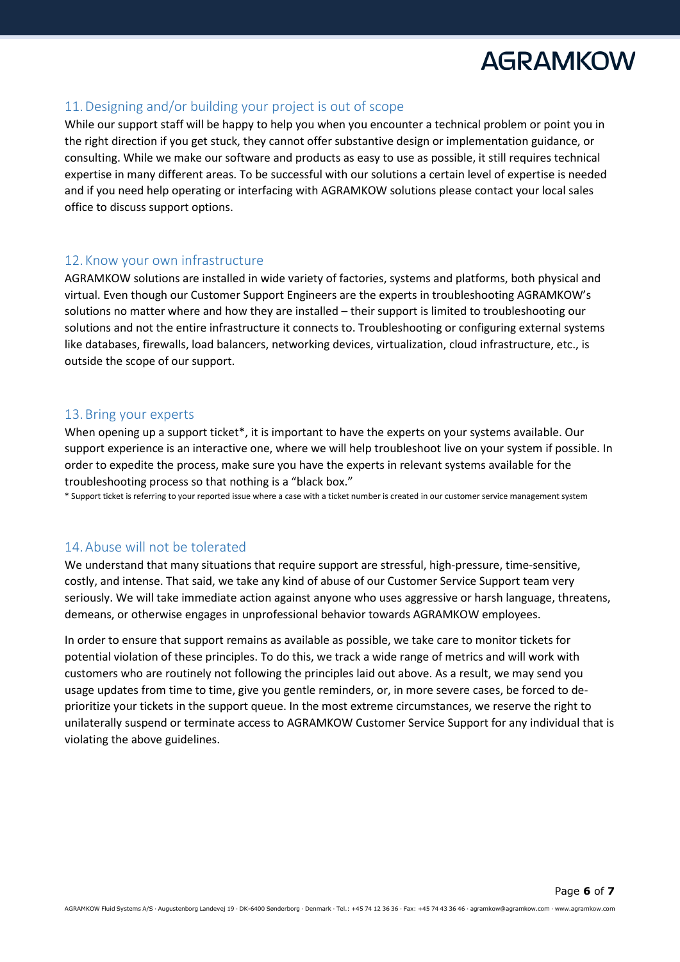## <span id="page-5-0"></span>11.Designing and/or building your project is out of scope

While our support staff will be happy to help you when you encounter a technical problem or point you in the right direction if you get stuck, they cannot offer substantive design or implementation guidance, or consulting. While we make our software and products as easy to use as possible, it still requires technical expertise in many different areas. To be successful with our solutions a certain level of expertise is needed and if you need help operating or interfacing with AGRAMKOW solutions please contact your local sales office to discuss support options.

### <span id="page-5-1"></span>12. Know your own infrastructure

AGRAMKOW solutions are installed in wide variety of factories, systems and platforms, both physical and virtual. Even though our Customer Support Engineers are the experts in troubleshooting AGRAMKOW's solutions no matter where and how they are installed – their support is limited to troubleshooting our solutions and not the entire infrastructure it connects to. Troubleshooting or configuring external systems like databases, firewalls, load balancers, networking devices, virtualization, cloud infrastructure, etc., is outside the scope of our support.

### <span id="page-5-2"></span>13.Bring your experts

When opening up a support ticket\*, it is important to have the experts on your systems available. Our support experience is an interactive one, where we will help troubleshoot live on your system if possible. In order to expedite the process, make sure you have the experts in relevant systems available for the troubleshooting process so that nothing is a "black box."

\* Support ticket is referring to your reported issue where a case with a ticket number is created in our customer service management system

## <span id="page-5-3"></span>14.Abuse will not be tolerated

We understand that many situations that require support are stressful, high-pressure, time-sensitive, costly, and intense. That said, we take any kind of abuse of our Customer Service Support team very seriously. We will take immediate action against anyone who uses aggressive or harsh language, threatens, demeans, or otherwise engages in unprofessional behavior towards AGRAMKOW employees.

In order to ensure that support remains as available as possible, we take care to monitor tickets for potential violation of these principles. To do this, we track a wide range of metrics and will work with customers who are routinely not following the principles laid out above. As a result, we may send you usage updates from time to time, give you gentle reminders, or, in more severe cases, be forced to deprioritize your tickets in the support queue. In the most extreme circumstances, we reserve the right to unilaterally suspend or terminate access to AGRAMKOW Customer Service Support for any individual that is violating the above guidelines.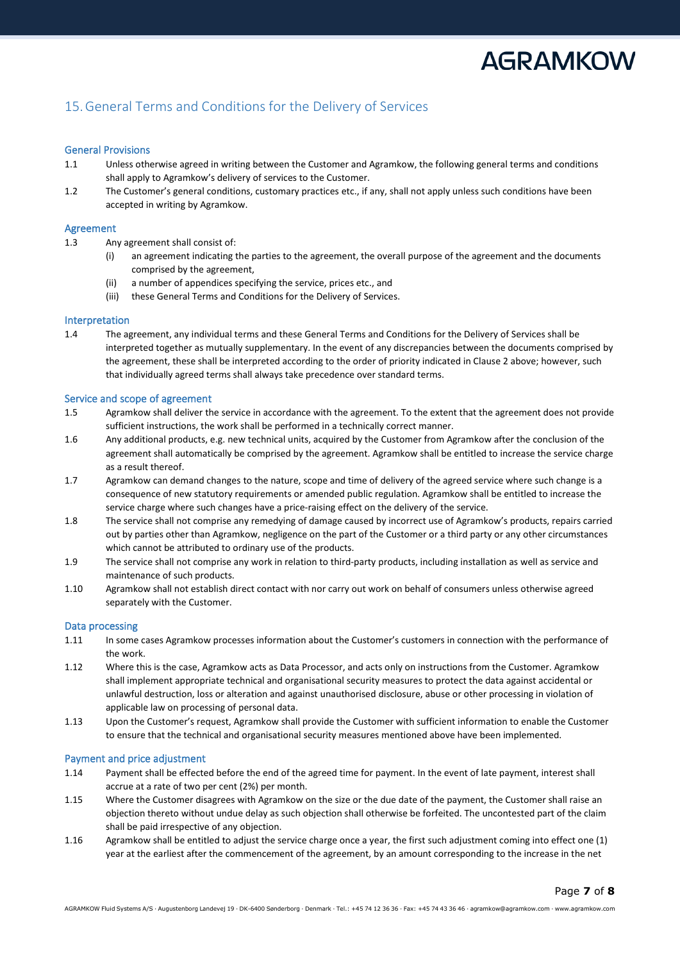Page **7** of **8**

## <span id="page-6-0"></span>15.General Terms and Conditions for the Delivery of Services

#### <span id="page-6-1"></span>General Provisions

- 1.1 Unless otherwise agreed in writing between the Customer and Agramkow, the following general terms and conditions shall apply to Agramkow's delivery of services to the Customer.
- 1.2 The Customer's general conditions, customary practices etc., if any, shall not apply unless such conditions have been accepted in writing by Agramkow.

#### <span id="page-6-2"></span>Agreement

- 1.3 Any agreement shall consist of:
	- (i) an agreement indicating the parties to the agreement, the overall purpose of the agreement and the documents comprised by the agreement,
	- (ii) a number of appendices specifying the service, prices etc., and
	- (iii) these General Terms and Conditions for the Delivery of Services.

#### <span id="page-6-3"></span>Interpretation

1.4 The agreement, any individual terms and these General Terms and Conditions for the Delivery of Services shall be interpreted together as mutually supplementary. In the event of any discrepancies between the documents comprised by the agreement, these shall be interpreted according to the order of priority indicated in Clause 2 above; however, such that individually agreed terms shall always take precedence over standard terms.

#### <span id="page-6-4"></span>Service and scope of agreement

- 1.5 Agramkow shall deliver the service in accordance with the agreement. To the extent that the agreement does not provide sufficient instructions, the work shall be performed in a technically correct manner.
- 1.6 Any additional products, e.g. new technical units, acquired by the Customer from Agramkow after the conclusion of the agreement shall automatically be comprised by the agreement. Agramkow shall be entitled to increase the service charge as a result thereof.
- 1.7 Agramkow can demand changes to the nature, scope and time of delivery of the agreed service where such change is a consequence of new statutory requirements or amended public regulation. Agramkow shall be entitled to increase the service charge where such changes have a price-raising effect on the delivery of the service.
- 1.8 The service shall not comprise any remedying of damage caused by incorrect use of Agramkow's products, repairs carried out by parties other than Agramkow, negligence on the part of the Customer or a third party or any other circumstances which cannot be attributed to ordinary use of the products.
- 1.9 The service shall not comprise any work in relation to third-party products, including installation as well as service and maintenance of such products.
- 1.10 Agramkow shall not establish direct contact with nor carry out work on behalf of consumers unless otherwise agreed separately with the Customer.

#### <span id="page-6-5"></span>Data processing

- 1.11 In some cases Agramkow processes information about the Customer's customers in connection with the performance of the work.
- 1.12 Where this is the case, Agramkow acts as Data Processor, and acts only on instructions from the Customer. Agramkow shall implement appropriate technical and organisational security measures to protect the data against accidental or unlawful destruction, loss or alteration and against unauthorised disclosure, abuse or other processing in violation of applicable law on processing of personal data.
- 1.13 Upon the Customer's request, Agramkow shall provide the Customer with sufficient information to enable the Customer to ensure that the technical and organisational security measures mentioned above have been implemented.

#### <span id="page-6-6"></span>Payment and price adjustment

- 1.14 Payment shall be effected before the end of the agreed time for payment. In the event of late payment, interest shall accrue at a rate of two per cent (2%) per month.
- 1.15 Where the Customer disagrees with Agramkow on the size or the due date of the payment, the Customer shall raise an objection thereto without undue delay as such objection shall otherwise be forfeited. The uncontested part of the claim shall be paid irrespective of any objection.
- 1.16 Agramkow shall be entitled to adjust the service charge once a year, the first such adjustment coming into effect one (1) year at the earliest after the commencement of the agreement, by an amount corresponding to the increase in the net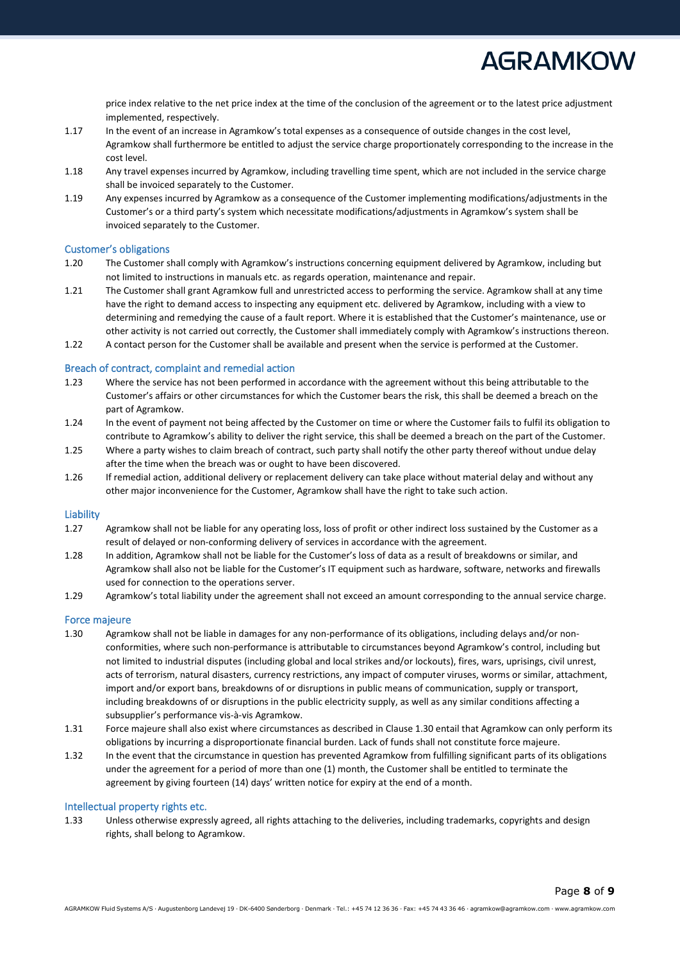Page **8** of **9**

price index relative to the net price index at the time of the conclusion of the agreement or to the latest price adjustment implemented, respectively.

- 1.17 In the event of an increase in Agramkow's total expenses as a consequence of outside changes in the cost level, Agramkow shall furthermore be entitled to adjust the service charge proportionately corresponding to the increase in the cost level.
- 1.18 Any travel expenses incurred by Agramkow, including travelling time spent, which are not included in the service charge shall be invoiced separately to the Customer.
- 1.19 Any expenses incurred by Agramkow as a consequence of the Customer implementing modifications/adjustments in the Customer's or a third party's system which necessitate modifications/adjustments in Agramkow's system shall be invoiced separately to the Customer.

#### <span id="page-7-0"></span>Customer's obligations

- 1.20 The Customer shall comply with Agramkow's instructions concerning equipment delivered by Agramkow, including but not limited to instructions in manuals etc. as regards operation, maintenance and repair.
- 1.21 The Customer shall grant Agramkow full and unrestricted access to performing the service. Agramkow shall at any time have the right to demand access to inspecting any equipment etc. delivered by Agramkow, including with a view to determining and remedying the cause of a fault report. Where it is established that the Customer's maintenance, use or other activity is not carried out correctly, the Customer shall immediately comply with Agramkow's instructions thereon.
- 1.22 A contact person for the Customer shall be available and present when the service is performed at the Customer.

#### <span id="page-7-1"></span>Breach of contract, complaint and remedial action

- 1.23 Where the service has not been performed in accordance with the agreement without this being attributable to the Customer's affairs or other circumstances for which the Customer bears the risk, this shall be deemed a breach on the part of Agramkow.
- 1.24 In the event of payment not being affected by the Customer on time or where the Customer fails to fulfil its obligation to contribute to Agramkow's ability to deliver the right service, this shall be deemed a breach on the part of the Customer.
- 1.25 Where a party wishes to claim breach of contract, such party shall notify the other party thereof without undue delay after the time when the breach was or ought to have been discovered.
- 1.26 If remedial action, additional delivery or replacement delivery can take place without material delay and without any other major inconvenience for the Customer, Agramkow shall have the right to take such action.

#### <span id="page-7-2"></span>Liability

- 1.27 Agramkow shall not be liable for any operating loss, loss of profit or other indirect loss sustained by the Customer as a result of delayed or non-conforming delivery of services in accordance with the agreement.
- 1.28 In addition, Agramkow shall not be liable for the Customer's loss of data as a result of breakdowns or similar, and Agramkow shall also not be liable for the Customer's IT equipment such as hardware, software, networks and firewalls used for connection to the operations server.
- 1.29 Agramkow's total liability under the agreement shall not exceed an amount corresponding to the annual service charge.

#### <span id="page-7-3"></span>Force majeure

- 1.30 Agramkow shall not be liable in damages for any non-performance of its obligations, including delays and/or nonconformities, where such non-performance is attributable to circumstances beyond Agramkow's control, including but not limited to industrial disputes (including global and local strikes and/or lockouts), fires, wars, uprisings, civil unrest, acts of terrorism, natural disasters, currency restrictions, any impact of computer viruses, worms or similar, attachment, import and/or export bans, breakdowns of or disruptions in public means of communication, supply or transport, including breakdowns of or disruptions in the public electricity supply, as well as any similar conditions affecting a subsupplier's performance vis-à-vis Agramkow.
- 1.31 Force majeure shall also exist where circumstances as described in Clause 1.30 entail that Agramkow can only perform its obligations by incurring a disproportionate financial burden. Lack of funds shall not constitute force majeure.
- 1.32 In the event that the circumstance in question has prevented Agramkow from fulfilling significant parts of its obligations under the agreement for a period of more than one (1) month, the Customer shall be entitled to terminate the agreement by giving fourteen (14) days' written notice for expiry at the end of a month.

#### <span id="page-7-4"></span>Intellectual property rights etc.

1.33 Unless otherwise expressly agreed, all rights attaching to the deliveries, including trademarks, copyrights and design rights, shall belong to Agramkow.